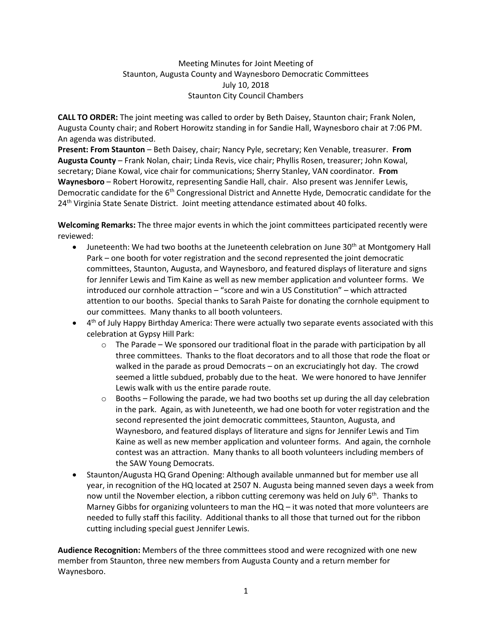## Meeting Minutes for Joint Meeting of Staunton, Augusta County and Waynesboro Democratic Committees July 10, 2018 Staunton City Council Chambers

**CALL TO ORDER:** The joint meeting was called to order by Beth Daisey, Staunton chair; Frank Nolen, Augusta County chair; and Robert Horowitz standing in for Sandie Hall, Waynesboro chair at 7:06 PM. An agenda was distributed.

**Present: From Staunton** – Beth Daisey, chair; Nancy Pyle, secretary; Ken Venable, treasurer. **From Augusta County** – Frank Nolan, chair; Linda Revis, vice chair; Phyllis Rosen, treasurer; John Kowal, secretary; Diane Kowal, vice chair for communications; Sherry Stanley, VAN coordinator. **From Waynesboro** – Robert Horowitz, representing Sandie Hall, chair. Also present was Jennifer Lewis, Democratic candidate for the  $6<sup>th</sup>$  Congressional District and Annette Hyde, Democratic candidate for the 24<sup>th</sup> Virginia State Senate District. Joint meeting attendance estimated about 40 folks.

**Welcoming Remarks:** The three major events in which the joint committees participated recently were reviewed:

- Juneteenth: We had two booths at the Juneteenth celebration on June 30<sup>th</sup> at Montgomery Hall Park – one booth for voter registration and the second represented the joint democratic committees, Staunton, Augusta, and Waynesboro, and featured displays of literature and signs for Jennifer Lewis and Tim Kaine as well as new member application and volunteer forms. We introduced our cornhole attraction – "score and win a US Constitution" – which attracted attention to our booths. Special thanks to Sarah Paiste for donating the cornhole equipment to our committees. Many thanks to all booth volunteers.
- $\bullet$  4<sup>th</sup> of July Happy Birthday America: There were actually two separate events associated with this celebration at Gypsy Hill Park:
	- $\circ$  The Parade We sponsored our traditional float in the parade with participation by all three committees. Thanks to the float decorators and to all those that rode the float or walked in the parade as proud Democrats – on an excruciatingly hot day. The crowd seemed a little subdued, probably due to the heat. We were honored to have Jennifer Lewis walk with us the entire parade route.
	- $\circ$  Booths Following the parade, we had two booths set up during the all day celebration in the park. Again, as with Juneteenth, we had one booth for voter registration and the second represented the joint democratic committees, Staunton, Augusta, and Waynesboro, and featured displays of literature and signs for Jennifer Lewis and Tim Kaine as well as new member application and volunteer forms. And again, the cornhole contest was an attraction. Many thanks to all booth volunteers including members of the SAW Young Democrats.
- Staunton/Augusta HQ Grand Opening: Although available unmanned but for member use all year, in recognition of the HQ located at 2507 N. Augusta being manned seven days a week from now until the November election, a ribbon cutting ceremony was held on July 6<sup>th</sup>. Thanks to Marney Gibbs for organizing volunteers to man the HQ – it was noted that more volunteers are needed to fully staff this facility. Additional thanks to all those that turned out for the ribbon cutting including special guest Jennifer Lewis.

**Audience Recognition:** Members of the three committees stood and were recognized with one new member from Staunton, three new members from Augusta County and a return member for Waynesboro.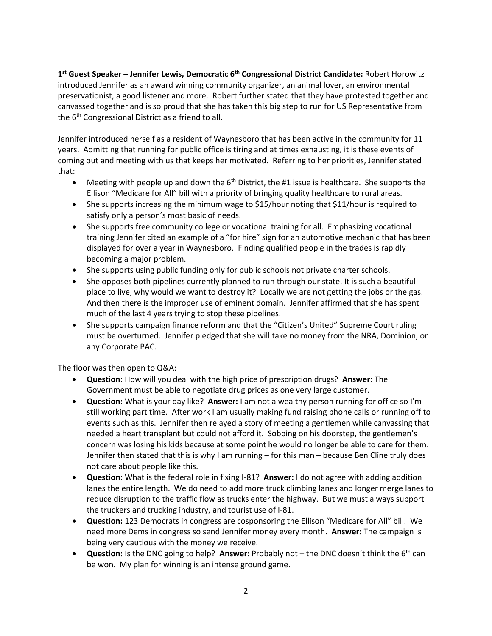**1 st Guest Speaker – Jennifer Lewis, Democratic 6th Congressional District Candidate:** Robert Horowitz introduced Jennifer as an award winning community organizer, an animal lover, an environmental preservationist, a good listener and more. Robert further stated that they have protested together and canvassed together and is so proud that she has taken this big step to run for US Representative from the 6<sup>th</sup> Congressional District as a friend to all.

Jennifer introduced herself as a resident of Waynesboro that has been active in the community for 11 years. Admitting that running for public office is tiring and at times exhausting, it is these events of coming out and meeting with us that keeps her motivated. Referring to her priorities, Jennifer stated that:

- Meeting with people up and down the  $6<sup>th</sup>$  District, the #1 issue is healthcare. She supports the Ellison "Medicare for All" bill with a priority of bringing quality healthcare to rural areas.
- She supports increasing the minimum wage to \$15/hour noting that \$11/hour is required to satisfy only a person's most basic of needs.
- She supports free community college or vocational training for all. Emphasizing vocational training Jennifer cited an example of a "for hire" sign for an automotive mechanic that has been displayed for over a year in Waynesboro. Finding qualified people in the trades is rapidly becoming a major problem.
- She supports using public funding only for public schools not private charter schools.
- She opposes both pipelines currently planned to run through our state. It is such a beautiful place to live, why would we want to destroy it? Locally we are not getting the jobs or the gas. And then there is the improper use of eminent domain. Jennifer affirmed that she has spent much of the last 4 years trying to stop these pipelines.
- She supports campaign finance reform and that the "Citizen's United" Supreme Court ruling must be overturned. Jennifer pledged that she will take no money from the NRA, Dominion, or any Corporate PAC.

The floor was then open to Q&A:

- **Question:** How will you deal with the high price of prescription drugs? **Answer:** The Government must be able to negotiate drug prices as one very large customer.
- **Question:** What is your day like? **Answer:** I am not a wealthy person running for office so I'm still working part time. After work I am usually making fund raising phone calls or running off to events such as this. Jennifer then relayed a story of meeting a gentlemen while canvassing that needed a heart transplant but could not afford it. Sobbing on his doorstep, the gentlemen's concern was losing his kids because at some point he would no longer be able to care for them. Jennifer then stated that this is why I am running – for this man – because Ben Cline truly does not care about people like this.
- **Question:** What is the federal role in fixing I-81? **Answer:** I do not agree with adding addition lanes the entire length. We do need to add more truck climbing lanes and longer merge lanes to reduce disruption to the traffic flow as trucks enter the highway. But we must always support the truckers and trucking industry, and tourist use of I-81.
- **Question:** 123 Democrats in congress are cosponsoring the Ellison "Medicare for All" bill. We need more Dems in congress so send Jennifer money every month. **Answer:** The campaign is being very cautious with the money we receive.
- **Question:** Is the DNC going to help? **Answer:** Probably not the DNC doesn't think the 6<sup>th</sup> can be won. My plan for winning is an intense ground game.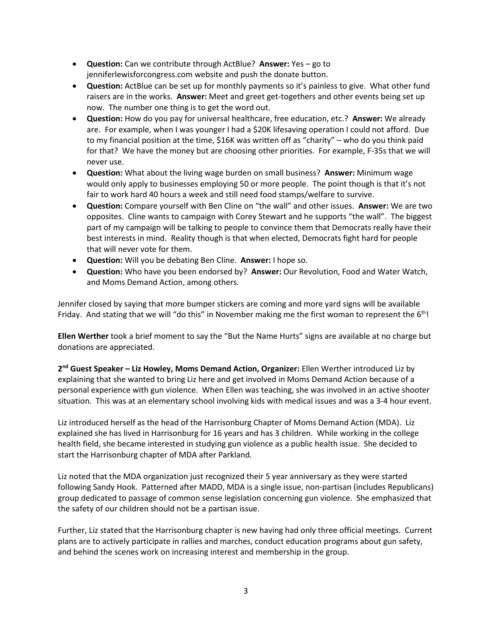- **Question:** Can we contribute through ActBlue? **Answer:** Yes go to jenniferlewisforcongress.com website and push the donate button.
- **Question:** ActBlue can be set up for monthly payments so it's painless to give. What other fund raisers are in the works. **Answer:** Meet and greet get-togethers and other events being set up now. The number one thing is to get the word out.
- **Question:** How do you pay for universal healthcare, free education, etc.? **Answer:** We already are. For example, when I was younger I had a \$20K lifesaving operation I could not afford. Due to my financial position at the time, \$16K was written off as "charity" – who do you think paid for that? We have the money but are choosing other priorities. For example, F-35s that we will never use.
- **Question:** What about the living wage burden on small business? **Answer:** Minimum wage would only apply to businesses employing 50 or more people. The point though is that it's not fair to work hard 40 hours a week and still need food stamps/welfare to survive.
- **Question:** Compare yourself with Ben Cline on "the wall" and other issues. **Answer:** We are two opposites. Cline wants to campaign with Corey Stewart and he supports "the wall". The biggest part of my campaign will be talking to people to convince them that Democrats really have their best interests in mind. Reality though is that when elected, Democrats fight hard for people that will never vote for them.
- **Question:** Will you be debating Ben Cline. **Answer:** I hope so.
- **Question:** Who have you been endorsed by? **Answer:** Our Revolution, Food and Water Watch, and Moms Demand Action, among others.

Jennifer closed by saying that more bumper stickers are coming and more yard signs will be available Friday. And stating that we will "do this" in November making me the first woman to represent the  $6<sup>th</sup>$ !

**Ellen Werther** took a brief moment to say the "But the Name Hurts" signs are available at no charge but donations are appreciated.

**2 nd Guest Speaker – Liz Howley, Moms Demand Action, Organizer:** Ellen Werther introduced Liz by explaining that she wanted to bring Liz here and get involved in Moms Demand Action because of a personal experience with gun violence. When Ellen was teaching, she was involved in an active shooter situation. This was at an elementary school involving kids with medical issues and was a 3-4 hour event.

Liz introduced herself as the head of the Harrisonburg Chapter of Moms Demand Action (MDA). Liz explained she has lived in Harrisonburg for 16 years and has 3 children. While working in the college health field, she became interested in studying gun violence as a public health issue. She decided to start the Harrisonburg chapter of MDA after Parkland.

Liz noted that the MDA organization just recognized their 5 year anniversary as they were started following Sandy Hook. Patterned after MADD, MDA is a single issue, non-partisan (includes Republicans) group dedicated to passage of common sense legislation concerning gun violence. She emphasized that the safety of our children should not be a partisan issue.

Further, Liz stated that the Harrisonburg chapter is new having had only three official meetings. Current plans are to actively participate in rallies and marches, conduct education programs about gun safety, and behind the scenes work on increasing interest and membership in the group.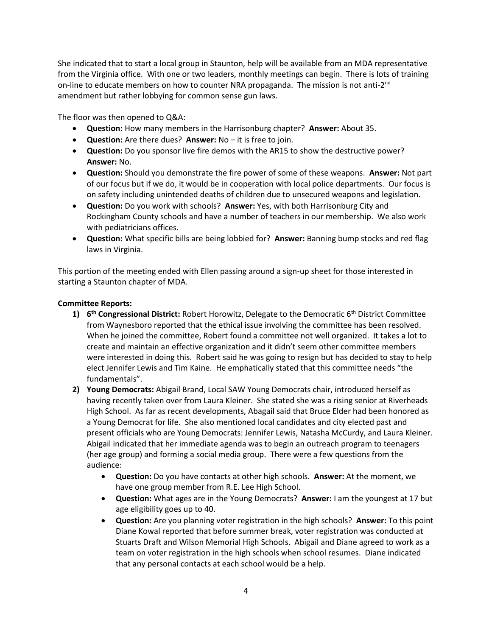She indicated that to start a local group in Staunton, help will be available from an MDA representative from the Virginia office. With one or two leaders, monthly meetings can begin. There is lots of training on-line to educate members on how to counter NRA propaganda. The mission is not anti-2<sup>nd</sup> amendment but rather lobbying for common sense gun laws.

The floor was then opened to Q&A:

- **Question:** How many members in the Harrisonburg chapter? **Answer:** About 35.
- **Question:** Are there dues? **Answer:** No it is free to join.
- **Question:** Do you sponsor live fire demos with the AR15 to show the destructive power? **Answer:** No.
- **Question:** Should you demonstrate the fire power of some of these weapons. **Answer:** Not part of our focus but if we do, it would be in cooperation with local police departments. Our focus is on safety including unintended deaths of children due to unsecured weapons and legislation.
- **Question:** Do you work with schools? **Answer:** Yes, with both Harrisonburg City and Rockingham County schools and have a number of teachers in our membership. We also work with pediatricians offices.
- **Question:** What specific bills are being lobbied for? **Answer:** Banning bump stocks and red flag laws in Virginia.

This portion of the meeting ended with Ellen passing around a sign-up sheet for those interested in starting a Staunton chapter of MDA.

## **Committee Reports:**

- **1) 6 th Congressional District:** Robert Horowitz, Delegate to the Democratic 6th District Committee from Waynesboro reported that the ethical issue involving the committee has been resolved. When he joined the committee, Robert found a committee not well organized. It takes a lot to create and maintain an effective organization and it didn't seem other committee members were interested in doing this. Robert said he was going to resign but has decided to stay to help elect Jennifer Lewis and Tim Kaine. He emphatically stated that this committee needs "the fundamentals".
- **2) Young Democrats:** Abigail Brand, Local SAW Young Democrats chair, introduced herself as having recently taken over from Laura Kleiner. She stated she was a rising senior at Riverheads High School. As far as recent developments, Abagail said that Bruce Elder had been honored as a Young Democrat for life. She also mentioned local candidates and city elected past and present officials who are Young Democrats: Jennifer Lewis, Natasha McCurdy, and Laura Kleiner. Abigail indicated that her immediate agenda was to begin an outreach program to teenagers (her age group) and forming a social media group. There were a few questions from the audience:
	- **Question:** Do you have contacts at other high schools. **Answer:** At the moment, we have one group member from R.E. Lee High School.
	- **Question:** What ages are in the Young Democrats? **Answer:** I am the youngest at 17 but age eligibility goes up to 40.
	- **Question:** Are you planning voter registration in the high schools? **Answer:** To this point Diane Kowal reported that before summer break, voter registration was conducted at Stuarts Draft and Wilson Memorial High Schools. Abigail and Diane agreed to work as a team on voter registration in the high schools when school resumes. Diane indicated that any personal contacts at each school would be a help.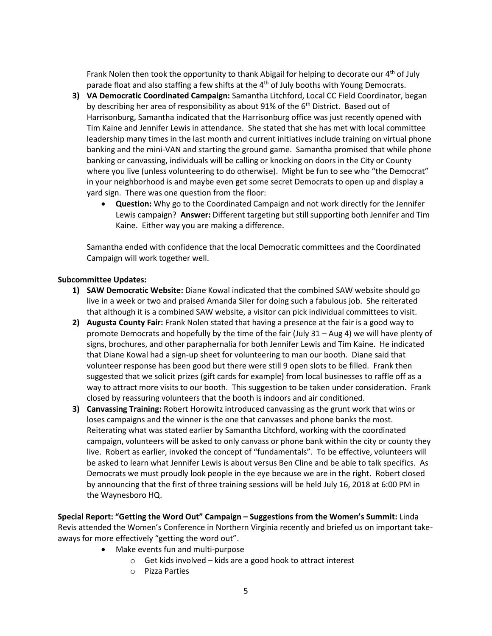Frank Nolen then took the opportunity to thank Abigail for helping to decorate our 4<sup>th</sup> of July parade float and also staffing a few shifts at the  $4<sup>th</sup>$  of July booths with Young Democrats.

- **3) VA Democratic Coordinated Campaign:** Samantha Litchford, Local CC Field Coordinator, began by describing her area of responsibility as about 91% of the  $6<sup>th</sup>$  District. Based out of Harrisonburg, Samantha indicated that the Harrisonburg office was just recently opened with Tim Kaine and Jennifer Lewis in attendance. She stated that she has met with local committee leadership many times in the last month and current initiatives include training on virtual phone banking and the mini-VAN and starting the ground game. Samantha promised that while phone banking or canvassing, individuals will be calling or knocking on doors in the City or County where you live (unless volunteering to do otherwise). Might be fun to see who "the Democrat" in your neighborhood is and maybe even get some secret Democrats to open up and display a yard sign. There was one question from the floor:
	- **Question:** Why go to the Coordinated Campaign and not work directly for the Jennifer Lewis campaign? **Answer:** Different targeting but still supporting both Jennifer and Tim Kaine. Either way you are making a difference.

Samantha ended with confidence that the local Democratic committees and the Coordinated Campaign will work together well.

## **Subcommittee Updates:**

- **1) SAW Democratic Website:** Diane Kowal indicated that the combined SAW website should go live in a week or two and praised Amanda Siler for doing such a fabulous job. She reiterated that although it is a combined SAW website, a visitor can pick individual committees to visit.
- **2) Augusta County Fair:** Frank Nolen stated that having a presence at the fair is a good way to promote Democrats and hopefully by the time of the fair (July 31 – Aug 4) we will have plenty of signs, brochures, and other paraphernalia for both Jennifer Lewis and Tim Kaine. He indicated that Diane Kowal had a sign-up sheet for volunteering to man our booth. Diane said that volunteer response has been good but there were still 9 open slots to be filled. Frank then suggested that we solicit prizes (gift cards for example) from local businesses to raffle off as a way to attract more visits to our booth. This suggestion to be taken under consideration. Frank closed by reassuring volunteers that the booth is indoors and air conditioned.
- **3) Canvassing Training:** Robert Horowitz introduced canvassing as the grunt work that wins or loses campaigns and the winner is the one that canvasses and phone banks the most. Reiterating what was stated earlier by Samantha Litchford, working with the coordinated campaign, volunteers will be asked to only canvass or phone bank within the city or county they live. Robert as earlier, invoked the concept of "fundamentals". To be effective, volunteers will be asked to learn what Jennifer Lewis is about versus Ben Cline and be able to talk specifics. As Democrats we must proudly look people in the eye because we are in the right. Robert closed by announcing that the first of three training sessions will be held July 16, 2018 at 6:00 PM in the Waynesboro HQ.

**Special Report: "Getting the Word Out" Campaign – Suggestions from the Women's Summit:** Linda Revis attended the Women's Conference in Northern Virginia recently and briefed us on important takeaways for more effectively "getting the word out".

- Make events fun and multi-purpose
	- o Get kids involved kids are a good hook to attract interest
	- o Pizza Parties